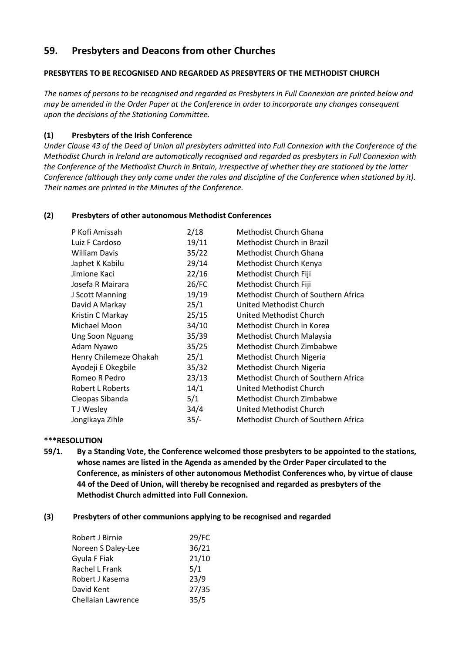# **59. Presbyters and Deacons from other Churches**

# **PRESBYTERS TO BE RECOGNISED AND REGARDED AS PRESBYTERS OF THE METHODIST CHURCH**

*The names of persons to be recognised and regarded as Presbyters in Full Connexion are printed below and may be amended in the Order Paper at the Conference in order to incorporate any changes consequent upon the decisions of the Stationing Committee.*

## **(1) Presbyters of the Irish Conference**

*Under Clause 43 of the Deed of Union all presbyters admitted into Full Connexion with the Conference of the Methodist Church in Ireland are automatically recognised and regarded as presbyters in Full Connexion with the Conference of the Methodist Church in Britain, irrespective of whether they are stationed by the latter Conference (although they only come under the rules and discipline of the Conference when stationed by it). Their names are printed in the Minutes of the Conference.*

## **(2) Presbyters of other autonomous Methodist Conferences**

| P Kofi Amissah         | 2/18   | Methodist Church Ghana              |
|------------------------|--------|-------------------------------------|
| Luiz F Cardoso         | 19/11  | Methodist Church in Brazil          |
| <b>William Davis</b>   | 35/22  | Methodist Church Ghana              |
| Japhet K Kabilu        | 29/14  | Methodist Church Kenya              |
| Jimione Kaci           | 22/16  | Methodist Church Fiji               |
| Josefa R Mairara       | 26/FC  | Methodist Church Fiji               |
| J Scott Manning        | 19/19  | Methodist Church of Southern Africa |
| David A Markay         | 25/1   | United Methodist Church             |
| Kristin C Markay       | 25/15  | United Methodist Church             |
| Michael Moon           | 34/10  | Methodist Church in Korea           |
| <b>Ung Soon Nguang</b> | 35/39  | Methodist Church Malaysia           |
| Adam Nyawo             | 35/25  | Methodist Church Zimbabwe           |
| Henry Chilemeze Ohakah | 25/1   | Methodist Church Nigeria            |
| Ayodeji E Okegbile     | 35/32  | Methodist Church Nigeria            |
| Romeo R Pedro          | 23/13  | Methodist Church of Southern Africa |
| Robert L Roberts       | 14/1   | United Methodist Church             |
| Cleopas Sibanda        | 5/1    | Methodist Church Zimbabwe           |
| T J Wesley             | 34/4   | United Methodist Church             |
| Jongikaya Zihle        | $35/-$ | Methodist Church of Southern Africa |

## **\*\*\*RESOLUTION**

**59/1. By a Standing Vote, the Conference welcomed those presbyters to be appointed to the stations, whose names are listed in the Agenda as amended by the Order Paper circulated to the Conference, as ministers of other autonomous Methodist Conferences who, by virtue of clause 44 of the Deed of Union, will thereby be recognised and regarded as presbyters of the Methodist Church admitted into Full Connexion.**

## **(3) Presbyters of other communions applying to be recognised and regarded**

| 29/FC |
|-------|
| 36/21 |
| 21/10 |
| 5/1   |
| 23/9  |
| 27/35 |
| 35/5  |
|       |